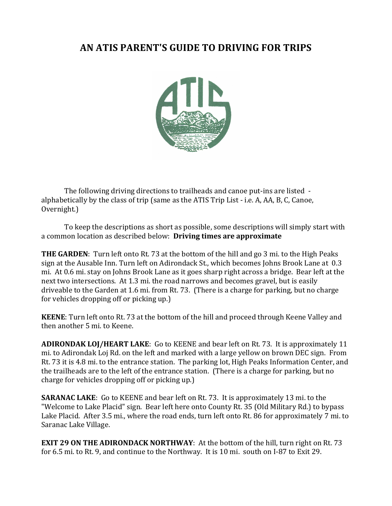### AN ATIS PARENT'S GUIDE TO DRIVING FOR TRIPS



The following driving directions to trailheads and canoe put-ins are listed alphabetically by the class of trip (same as the ATIS Trip List - i.e. A, AA, B, C, Canoe, Overnight.)

To keep the descriptions as short as possible, some descriptions will simply start with a common location as described below: **Driving times are approximate** 

**THE GARDEN**: Turn left onto Rt. 73 at the bottom of the hill and go 3 mi. to the High Peaks sign at the Ausable Inn. Turn left on Adirondack St., which becomes Johns Brook Lane at 0.3 mi. At 0.6 mi. stay on Johns Brook Lane as it goes sharp right across a bridge. Bear left at the next two intersections. At 1.3 mi. the road narrows and becomes gravel, but is easily driveable to the Garden at 1.6 mi. from Rt. 73. (There is a charge for parking, but no charge for vehicles dropping off or picking up.)

**KEENE**: Turn left onto Rt. 73 at the bottom of the hill and proceed through Keene Valley and then another 5 mi, to Keene.

**ADIRONDAK LOJ/HEART LAKE:** Go to KEENE and bear left on Rt. 73. It is approximately 11 mi. to Adirondak Loj Rd. on the left and marked with a large yellow on brown DEC sign. From Rt. 73 it is 4.8 mi. to the entrance station. The parking lot, High Peaks Information Center, and the trailheads are to the left of the entrance station. (There is a charge for parking, but no charge for vehicles dropping off or picking up.)

**SARANAC LAKE:** Go to KEENE and bear left on Rt. 73. It is approximately 13 mi. to the "Welcome to Lake Placid" sign. Bear left here onto County Rt. 35 (Old Military Rd.) to bypass Lake Placid. After 3.5 mi., where the road ends, turn left onto Rt. 86 for approximately 7 mi. to Saranac Lake Village.

**EXIT 29 ON THE ADIRONDACK NORTHWAY:** At the bottom of the hill, turn right on Rt. 73 for 6.5 mi. to Rt. 9, and continue to the Northway. It is 10 mi. south on I-87 to Exit 29.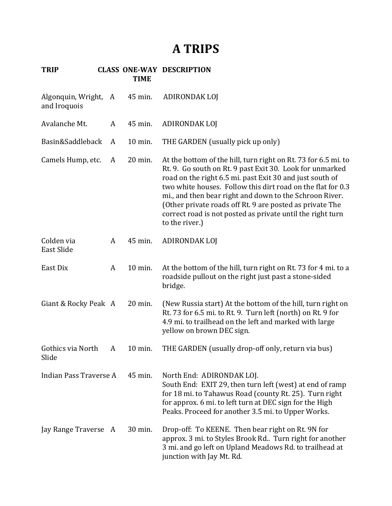# **A TRIPS**

| Algonquin, Wright, A<br>and Iroquois |   | 45 min. | ADIRONDAK LOJ                                                                                                                                                                                                                                                                                                                                                                                                                                                |
|--------------------------------------|---|---------|--------------------------------------------------------------------------------------------------------------------------------------------------------------------------------------------------------------------------------------------------------------------------------------------------------------------------------------------------------------------------------------------------------------------------------------------------------------|
| Avalanche Mt.                        | A | 45 min. | ADIRONDAK LOJ                                                                                                                                                                                                                                                                                                                                                                                                                                                |
| Basin&Saddleback                     | A | 10 min. | THE GARDEN (usually pick up only)                                                                                                                                                                                                                                                                                                                                                                                                                            |
| Camels Hump, etc.                    | A | 20 min. | At the bottom of the hill, turn right on Rt. 73 for 6.5 mi. to<br>Rt. 9. Go south on Rt. 9 past Exit 30. Look for unmarked<br>road on the right 6.5 mi. past Exit 30 and just south of<br>two white houses. Follow this dirt road on the flat for 0.3<br>mi., and then bear right and down to the Schroon River.<br>(Other private roads off Rt. 9 are posted as private The<br>correct road is not posted as private until the right turn<br>to the river.) |
| Colden via<br>East Slide             | A | 45 min. | ADIRONDAK LOJ                                                                                                                                                                                                                                                                                                                                                                                                                                                |
| East Dix                             | A | 10 min. | At the bottom of the hill, turn right on Rt. 73 for 4 mi. to a<br>roadside pullout on the right just past a stone-sided<br>bridge.                                                                                                                                                                                                                                                                                                                           |
| Giant & Rocky Peak A                 |   | 20 min. | (New Russia start) At the bottom of the hill, turn right on<br>Rt. 73 for 6.5 mi. to Rt. 9. Turn left (north) on Rt. 9 for<br>4.9 mi. to trailhead on the left and marked with large<br>yellow on brown DEC sign.                                                                                                                                                                                                                                            |
| Gothics via North<br>Slide           | A | 10 min. | THE GARDEN (usually drop-off only, return via bus)                                                                                                                                                                                                                                                                                                                                                                                                           |
| Indian Pass Traverse A               |   | 45 min. | North End: ADIRONDAK LOJ.<br>South End: EXIT 29, then turn left (west) at end of ramp<br>for 18 mi. to Tahawus Road (county Rt. 25). Turn right<br>for approx. 6 mi. to left turn at DEC sign for the High<br>Peaks. Proceed for another 3.5 mi. to Upper Works.                                                                                                                                                                                             |
| Jay Range Traverse A                 |   | 30 min. | Drop-off: To KEENE. Then bear right on Rt. 9N for<br>approx. 3 mi. to Styles Brook Rd Turn right for another<br>3 mi. and go left on Upland Meadows Rd. to trailhead at<br>junction with Jay Mt. Rd.                                                                                                                                                                                                                                                         |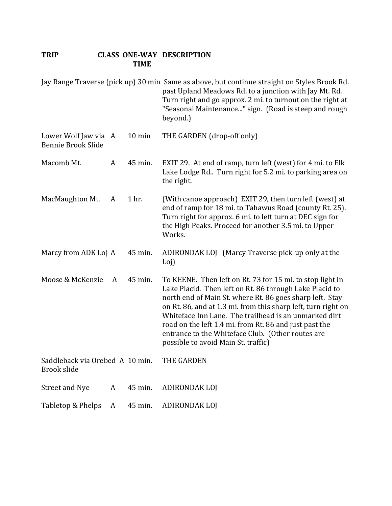|                                                       |   |                  | Jay Range Traverse (pick up) 30 min Same as above, but continue straight on Styles Brook Rd.<br>past Upland Meadows Rd. to a junction with Jay Mt. Rd.<br>Turn right and go approx. 2 mi. to turnout on the right at<br>"Seasonal Maintenance" sign. (Road is steep and rough<br>beyond.)                                                                                                                                                                        |
|-------------------------------------------------------|---|------------------|------------------------------------------------------------------------------------------------------------------------------------------------------------------------------------------------------------------------------------------------------------------------------------------------------------------------------------------------------------------------------------------------------------------------------------------------------------------|
| Lower Wolf Jaw via A<br><b>Bennie Brook Slide</b>     |   | $10 \text{ min}$ | THE GARDEN (drop-off only)                                                                                                                                                                                                                                                                                                                                                                                                                                       |
| Macomb Mt.                                            | A | 45 min.          | EXIT 29. At end of ramp, turn left (west) for 4 mi. to Elk<br>Lake Lodge Rd. Turn right for 5.2 mi. to parking area on<br>the right.                                                                                                                                                                                                                                                                                                                             |
| MacMaughton Mt.                                       | A | 1 hr.            | (With canoe approach) EXIT 29, then turn left (west) at<br>end of ramp for 18 mi. to Tahawus Road (county Rt. 25).<br>Turn right for approx. 6 mi. to left turn at DEC sign for<br>the High Peaks. Proceed for another 3.5 mi. to Upper<br>Works.                                                                                                                                                                                                                |
| Marcy from ADK Loj A                                  |   | 45 min.          | ADIRONDAK LOJ (Marcy Traverse pick-up only at the<br>Loj)                                                                                                                                                                                                                                                                                                                                                                                                        |
| Moose & McKenzie                                      | A | 45 min.          | To KEENE. Then left on Rt. 73 for 15 mi. to stop light in<br>Lake Placid. Then left on Rt. 86 through Lake Placid to<br>north end of Main St. where Rt. 86 goes sharp left. Stay<br>on Rt. 86, and at 1.3 mi. from this sharp left, turn right on<br>Whiteface Inn Lane. The trailhead is an unmarked dirt<br>road on the left 1.4 mi. from Rt. 86 and just past the<br>entrance to the Whiteface Club. (Other routes are<br>possible to avoid Main St. traffic) |
| Saddleback via Orebed A 10 min.<br><b>Brook slide</b> |   |                  | THE GARDEN                                                                                                                                                                                                                                                                                                                                                                                                                                                       |
| <b>Street and Nye</b>                                 | A | 45 min.          | <b>ADIRONDAK LOJ</b>                                                                                                                                                                                                                                                                                                                                                                                                                                             |
| Tabletop & Phelps                                     | A | 45 min.          | <b>ADIRONDAK LOJ</b>                                                                                                                                                                                                                                                                                                                                                                                                                                             |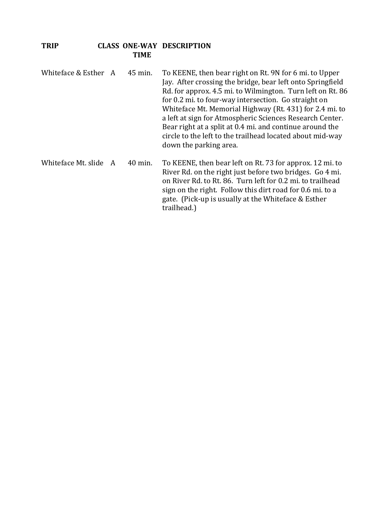- Whiteface & Esther  $A = 45$  min. To KEENE, then bear right on Rt. 9N for 6 mi. to Upper Jay. After crossing the bridge, bear left onto Springfield Rd. for approx. 4.5 mi. to Wilmington. Turn left on Rt. 86 for 0.2 mi. to four-way intersection. Go straight on Whiteface Mt. Memorial Highway (Rt. 431) for 2.4 mi. to a left at sign for Atmospheric Sciences Research Center. Bear right at a split at 0.4 mi. and continue around the circle to the left to the trailhead located about mid-way down the parking area. Whiteface Mt. slide  $A = 40$  min. To KEENE, then bear left on Rt. 73 for approx. 12 mi. to
- River Rd. on the right just before two bridges. Go 4 mi. on River Rd. to Rt. 86. Turn left for 0.2 mi. to trailhead sign on the right. Follow this dirt road for 0.6 mi. to a gate. (Pick-up is usually at the Whiteface & Esther trailhead.)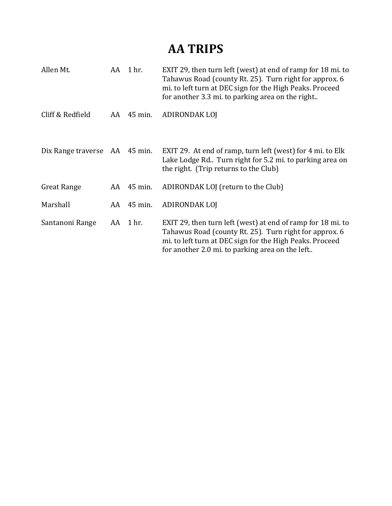# **AA TRIPS**

| Allen Mt.                     |    | AA 1 hr.     | EXIT 29, then turn left (west) at end of ramp for 18 mi. to<br>Tahawus Road (county Rt. 25). Turn right for approx. 6<br>mi. to left turn at DEC sign for the High Peaks. Proceed<br>for another 3.3 mi. to parking area on the right |
|-------------------------------|----|--------------|---------------------------------------------------------------------------------------------------------------------------------------------------------------------------------------------------------------------------------------|
| Cliff & Redfield              |    | AA 45 min.   | ADIRONDAK LOJ                                                                                                                                                                                                                         |
| Dix Range traverse AA 45 min. |    |              | EXIT 29. At end of ramp, turn left (west) for 4 mi. to Elk<br>Lake Lodge Rd Turn right for 5.2 mi. to parking area on<br>the right. (Trip returns to the Club)                                                                        |
| <b>Great Range</b>            |    | $AA$ 45 min. | ADIRONDAK LOJ (return to the Club)                                                                                                                                                                                                    |
| Marshall                      | AA | 45 min.      | ADIRONDAK LOJ                                                                                                                                                                                                                         |
| Santanoni Range               |    | AA 1 hr.     | EXIT 29, then turn left (west) at end of ramp for 18 mi. to<br>Tahawus Road (county Rt. 25). Turn right for approx. 6<br>mi. to left turn at DEC sign for the High Peaks. Proceed<br>for another 2.0 mi. to parking area on the left  |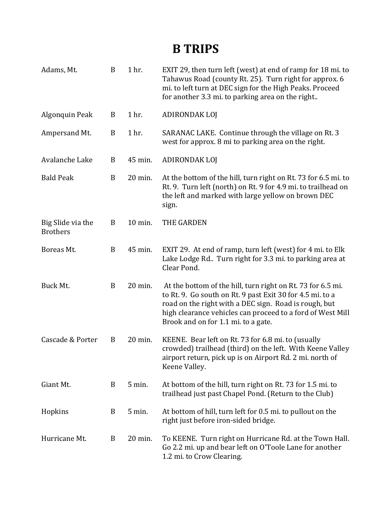# **B TRIPS**

| Adams, Mt.                           | $\boldsymbol{B}$ | 1 hr.    | EXIT 29, then turn left (west) at end of ramp for 18 mi. to<br>Tahawus Road (county Rt. 25). Turn right for approx. 6<br>mi. to left turn at DEC sign for the High Peaks. Proceed<br>for another 3.3 mi. to parking area on the right                                                  |
|--------------------------------------|------------------|----------|----------------------------------------------------------------------------------------------------------------------------------------------------------------------------------------------------------------------------------------------------------------------------------------|
| Algonquin Peak                       | B                | 1 hr.    | <b>ADIRONDAK LOJ</b>                                                                                                                                                                                                                                                                   |
| Ampersand Mt.                        | B                | 1 hr.    | SARANAC LAKE. Continue through the village on Rt. 3<br>west for approx. 8 mi to parking area on the right.                                                                                                                                                                             |
| Avalanche Lake                       | B                | 45 min.  | <b>ADIRONDAK LOJ</b>                                                                                                                                                                                                                                                                   |
| <b>Bald Peak</b>                     | $\, {\bf B}$     | 20 min.  | At the bottom of the hill, turn right on Rt. 73 for 6.5 mi. to<br>Rt. 9. Turn left (north) on Rt. 9 for 4.9 mi. to trailhead on<br>the left and marked with large yellow on brown DEC<br>sign.                                                                                         |
| Big Slide via the<br><b>Brothers</b> | B                | 10 min.  | THE GARDEN                                                                                                                                                                                                                                                                             |
| Boreas Mt.                           | $\, {\bf B}$     | 45 min.  | EXIT 29. At end of ramp, turn left (west) for 4 mi. to Elk<br>Lake Lodge Rd. Turn right for 3.3 mi. to parking area at<br>Clear Pond.                                                                                                                                                  |
| Buck Mt.                             | B                | 20 min.  | At the bottom of the hill, turn right on Rt. 73 for 6.5 mi.<br>to Rt. 9. Go south on Rt. 9 past Exit 30 for 4.5 mi. to a<br>road on the right with a DEC sign. Road is rough, but<br>high clearance vehicles can proceed to a ford of West Mill<br>Brook and on for 1.1 mi. to a gate. |
| Cascade & Porter                     | B                | 20 min.  | KEENE. Bear left on Rt. 73 for 6.8 mi. to (usually<br>crowded) trailhead (third) on the left. With Keene Valley<br>airport return, pick up is on Airport Rd. 2 mi. north of<br>Keene Valley.                                                                                           |
| Giant Mt.                            | B                | $5$ min. | At bottom of the hill, turn right on Rt. 73 for 1.5 mi. to<br>trailhead just past Chapel Pond. (Return to the Club)                                                                                                                                                                    |
| Hopkins                              | B                | 5 min.   | At bottom of hill, turn left for 0.5 mi. to pullout on the<br>right just before iron-sided bridge.                                                                                                                                                                                     |
| Hurricane Mt.                        | B                | 20 min.  | To KEENE. Turn right on Hurricane Rd. at the Town Hall.<br>Go 2.2 mi. up and bear left on O'Toole Lane for another<br>1.2 mi. to Crow Clearing.                                                                                                                                        |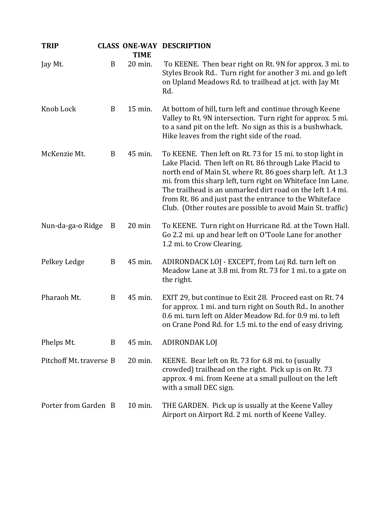| <b>TRIP</b>             |   | <b>TIME</b> | <b>CLASS ONE-WAY DESCRIPTION</b>                                                                                                                                                                                                                                                                                                                                                                                                          |
|-------------------------|---|-------------|-------------------------------------------------------------------------------------------------------------------------------------------------------------------------------------------------------------------------------------------------------------------------------------------------------------------------------------------------------------------------------------------------------------------------------------------|
| Jay Mt.                 | B | 20 min.     | To KEENE. Then bear right on Rt. 9N for approx. 3 mi. to<br>Styles Brook Rd Turn right for another 3 mi. and go left<br>on Upland Meadows Rd. to trailhead at jct. with Jay Mt<br>Rd.                                                                                                                                                                                                                                                     |
| Knob Lock               | B | 15 min.     | At bottom of hill, turn left and continue through Keene<br>Valley to Rt. 9N intersection. Turn right for approx. 5 mi.<br>to a sand pit on the left. No sign as this is a bushwhack.<br>Hike leaves from the right side of the road.                                                                                                                                                                                                      |
| McKenzie Mt.            | B | 45 min.     | To KEENE. Then left on Rt. 73 for 15 mi. to stop light in<br>Lake Placid. Then left on Rt. 86 through Lake Placid to<br>north end of Main St. where Rt. 86 goes sharp left. At 1.3<br>mi. from this sharp left, turn right on Whiteface Inn Lane.<br>The trailhead is an unmarked dirt road on the left 1.4 mi.<br>from Rt. 86 and just past the entrance to the Whiteface<br>Club. (Other routes are possible to avoid Main St. traffic) |
| Nun-da-ga-o Ridge       | B | 20 min      | To KEENE. Turn right on Hurricane Rd. at the Town Hall.<br>Go 2.2 mi. up and bear left on O'Toole Lane for another<br>1.2 mi. to Crow Clearing.                                                                                                                                                                                                                                                                                           |
| Pelkey Ledge            | B | 45 min.     | ADIRONDACK LOJ - EXCEPT, from Loj Rd. turn left on<br>Meadow Lane at 3.8 mi. from Rt. 73 for 1 mi. to a gate on<br>the right.                                                                                                                                                                                                                                                                                                             |
| Pharaoh Mt.             | B | 45 min.     | EXIT 29, but continue to Exit 28. Proceed east on Rt. 74<br>for approx. 1 mi. and turn right on South Rd In another<br>0.6 mi. turn left on Alder Meadow Rd. for 0.9 mi. to left<br>on Crane Pond Rd. for 1.5 mi. to the end of easy driving.                                                                                                                                                                                             |
| Phelps Mt.              | B | 45 min.     | ADIRONDAK LOJ                                                                                                                                                                                                                                                                                                                                                                                                                             |
| Pitchoff Mt. traverse B |   | 20 min.     | KEENE. Bear left on Rt. 73 for 6.8 mi. to (usually<br>crowded) trailhead on the right. Pick up is on Rt. 73<br>approx. 4 mi. from Keene at a small pullout on the left<br>with a small DEC sign.                                                                                                                                                                                                                                          |
| Porter from Garden B    |   | 10 min.     | THE GARDEN. Pick up is usually at the Keene Valley<br>Airport on Airport Rd. 2 mi. north of Keene Valley.                                                                                                                                                                                                                                                                                                                                 |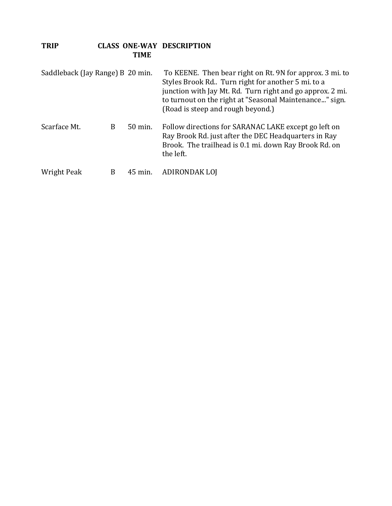| TRIP |             | <b>CLASS ONE-WAY DESCRIPTION</b> |
|------|-------------|----------------------------------|
|      | <b>TIME</b> |                                  |

| Saddleback (Jay Range) B 20 min. |   |         | To KEENE. Then bear right on Rt. 9N for approx. 3 mi. to<br>Styles Brook Rd Turn right for another 5 mi. to a<br>junction with Jay Mt. Rd. Turn right and go approx. 2 mi.<br>to turnout on the right at "Seasonal Maintenance" sign.<br>(Road is steep and rough beyond.) |
|----------------------------------|---|---------|----------------------------------------------------------------------------------------------------------------------------------------------------------------------------------------------------------------------------------------------------------------------------|
| Scarface Mt.                     | B | 50 min. | Follow directions for SARANAC LAKE except go left on<br>Ray Brook Rd. just after the DEC Headquarters in Ray<br>Brook. The trailhead is 0.1 mi. down Ray Brook Rd. on<br>the left.                                                                                         |
| Wright Peak                      | B | 45 min. | ADIRONDAK LOJ                                                                                                                                                                                                                                                              |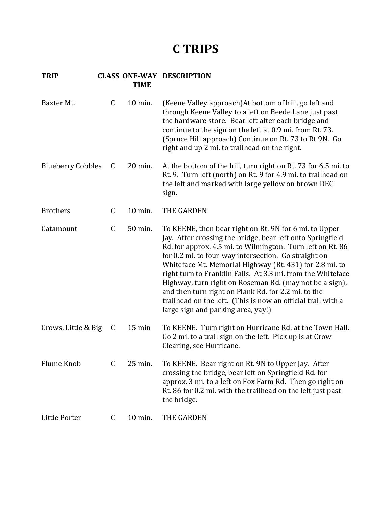### **C TRIPS**

| Baxter Mt.               | $\mathsf C$  | 10 min.          | (Keene Valley approach) At bottom of hill, go left and<br>through Keene Valley to a left on Beede Lane just past<br>the hardware store. Bear left after each bridge and<br>continue to the sign on the left at 0.9 mi. from Rt. 73.<br>(Spruce Hill approach) Continue on Rt. 73 to Rt 9N. Go<br>right and up 2 mi. to trailhead on the right.                                                                                                                                                                                                                                               |
|--------------------------|--------------|------------------|----------------------------------------------------------------------------------------------------------------------------------------------------------------------------------------------------------------------------------------------------------------------------------------------------------------------------------------------------------------------------------------------------------------------------------------------------------------------------------------------------------------------------------------------------------------------------------------------|
| <b>Blueberry Cobbles</b> | C            | 20 min.          | At the bottom of the hill, turn right on Rt. 73 for 6.5 mi. to<br>Rt. 9. Turn left (north) on Rt. 9 for 4.9 mi. to trailhead on<br>the left and marked with large yellow on brown DEC<br>sign.                                                                                                                                                                                                                                                                                                                                                                                               |
| <b>Brothers</b>          | $\mathsf C$  | 10 min.          | <b>THE GARDEN</b>                                                                                                                                                                                                                                                                                                                                                                                                                                                                                                                                                                            |
| Catamount                | $\mathsf C$  | 50 min.          | To KEENE, then bear right on Rt. 9N for 6 mi. to Upper<br>Jay. After crossing the bridge, bear left onto Springfield<br>Rd. for approx. 4.5 mi. to Wilmington. Turn left on Rt. 86<br>for 0.2 mi. to four-way intersection. Go straight on<br>Whiteface Mt. Memorial Highway (Rt. 431) for 2.8 mi. to<br>right turn to Franklin Falls. At 3.3 mi. from the Whiteface<br>Highway, turn right on Roseman Rd. (may not be a sign),<br>and then turn right on Plank Rd. for 2.2 mi. to the<br>trailhead on the left. (This is now an official trail with a<br>large sign and parking area, yay!) |
| Crows, Little & Big      | C            | $15 \text{ min}$ | To KEENE. Turn right on Hurricane Rd. at the Town Hall.<br>Go 2 mi. to a trail sign on the left. Pick up is at Crow<br>Clearing, see Hurricane.                                                                                                                                                                                                                                                                                                                                                                                                                                              |
| Flume Knob               | $\mathsf{C}$ | 25 min.          | To KEENE. Bear right on Rt. 9N to Upper Jay. After<br>crossing the bridge, bear left on Springfield Rd. for<br>approx. 3 mi. to a left on Fox Farm Rd. Then go right on<br>Rt. 86 for 0.2 mi. with the trailhead on the left just past<br>the bridge.                                                                                                                                                                                                                                                                                                                                        |
| Little Porter            | C            | 10 min.          | <b>THE GARDEN</b>                                                                                                                                                                                                                                                                                                                                                                                                                                                                                                                                                                            |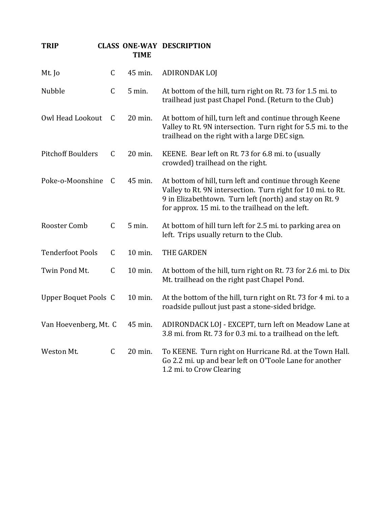| <b>TRIP</b>                 |             | <b>TIME</b> | <b>CLASS ONE-WAY DESCRIPTION</b>                                                                                                                                                                                                      |
|-----------------------------|-------------|-------------|---------------------------------------------------------------------------------------------------------------------------------------------------------------------------------------------------------------------------------------|
| Mt. Jo                      | $\mathsf C$ | 45 min.     | <b>ADIRONDAK LOJ</b>                                                                                                                                                                                                                  |
| Nubble                      | C           | 5 min.      | At bottom of the hill, turn right on Rt. 73 for 1.5 mi. to<br>trailhead just past Chapel Pond. (Return to the Club)                                                                                                                   |
| Owl Head Lookout            | C           | 20 min.     | At bottom of hill, turn left and continue through Keene<br>Valley to Rt. 9N intersection. Turn right for 5.5 mi. to the<br>trailhead on the right with a large DEC sign.                                                              |
| <b>Pitchoff Boulders</b>    | C           | 20 min.     | KEENE. Bear left on Rt. 73 for 6.8 mi. to (usually<br>crowded) trailhead on the right.                                                                                                                                                |
| Poke-o-Moonshine            | C           | 45 min.     | At bottom of hill, turn left and continue through Keene<br>Valley to Rt. 9N intersection. Turn right for 10 mi. to Rt.<br>9 in Elizabethtown. Turn left (north) and stay on Rt. 9<br>for approx. 15 mi. to the trailhead on the left. |
| Rooster Comb                | $\mathsf C$ | 5 min.      | At bottom of hill turn left for 2.5 mi. to parking area on<br>left. Trips usually return to the Club.                                                                                                                                 |
| <b>Tenderfoot Pools</b>     | C           | 10 min.     | THE GARDEN                                                                                                                                                                                                                            |
| Twin Pond Mt.               | $\mathsf C$ | 10 min.     | At bottom of the hill, turn right on Rt. 73 for 2.6 mi. to Dix<br>Mt. trailhead on the right past Chapel Pond.                                                                                                                        |
| <b>Upper Boquet Pools C</b> |             | 10 min.     | At the bottom of the hill, turn right on Rt. 73 for 4 mi. to a<br>roadside pullout just past a stone-sided bridge.                                                                                                                    |
|                             |             |             | Van Hoevenberg, Mt. C 45 min. ADIRONDACK LOJ - EXCEPT, turn left on Meadow Lane at<br>3.8 mi. from Rt. 73 for 0.3 mi. to a trailhead on the left.                                                                                     |
| Weston Mt.                  | C           | 20 min.     | To KEENE. Turn right on Hurricane Rd. at the Town Hall.<br>Go 2.2 mi. up and bear left on O'Toole Lane for another<br>1.2 mi. to Crow Clearing                                                                                        |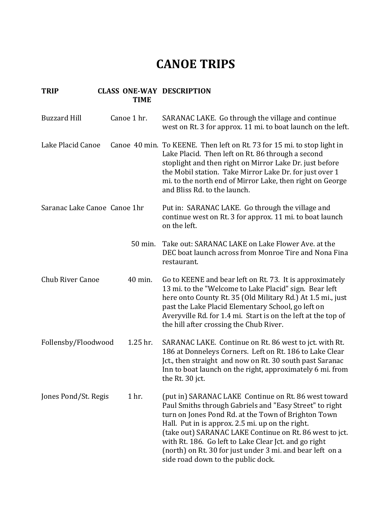### **CANOE TRIPS**

| <b>Buzzard Hill</b>          | Canoe 1 hr. | SARANAC LAKE. Go through the village and continue<br>west on Rt. 3 for approx. 11 mi. to boat launch on the left.                                                                                                                                                                                                                                                                                                                                 |
|------------------------------|-------------|---------------------------------------------------------------------------------------------------------------------------------------------------------------------------------------------------------------------------------------------------------------------------------------------------------------------------------------------------------------------------------------------------------------------------------------------------|
| Lake Placid Canoe            |             | Canoe 40 min. To KEENE. Then left on Rt. 73 for 15 mi. to stop light in<br>Lake Placid. Then left on Rt. 86 through a second<br>stoplight and then right on Mirror Lake Dr. just before<br>the Mobil station. Take Mirror Lake Dr. for just over 1<br>mi. to the north end of Mirror Lake, then right on George<br>and Bliss Rd. to the launch.                                                                                                   |
| Saranac Lake Canoe Canoe 1hr |             | Put in: SARANAC LAKE. Go through the village and<br>continue west on Rt. 3 for approx. 11 mi. to boat launch<br>on the left.                                                                                                                                                                                                                                                                                                                      |
|                              | 50 min.     | Take out: SARANAC LAKE on Lake Flower Ave. at the<br>DEC boat launch across from Monroe Tire and Nona Fina<br>restaurant.                                                                                                                                                                                                                                                                                                                         |
| <b>Chub River Canoe</b>      | 40 min.     | Go to KEENE and bear left on Rt. 73. It is approximately<br>13 mi. to the "Welcome to Lake Placid" sign. Bear left<br>here onto County Rt. 35 (Old Military Rd.) At 1.5 mi., just<br>past the Lake Placid Elementary School, go left on<br>Averyville Rd. for 1.4 mi. Start is on the left at the top of<br>the hill after crossing the Chub River.                                                                                               |
| Follensby/Floodwood          | 1.25 hr.    | SARANAC LAKE. Continue on Rt. 86 west to jct. with Rt.<br>186 at Donneleys Corners. Left on Rt. 186 to Lake Clear<br>Jct., then straight and now on Rt. 30 south past Saranac<br>Inn to boat launch on the right, approximately 6 mi. from<br>the Rt. 30 jct.                                                                                                                                                                                     |
| Jones Pond/St. Regis         | 1 hr.       | (put in) SARANAC LAKE Continue on Rt. 86 west toward<br>Paul Smiths through Gabriels and "Easy Street" to right<br>turn on Jones Pond Rd. at the Town of Brighton Town<br>Hall. Put in is approx. 2.5 mi. up on the right.<br>(take out) SARANAC LAKE Continue on Rt. 86 west to jct.<br>with Rt. 186. Go left to Lake Clear Jct. and go right<br>(north) on Rt. 30 for just under 3 mi. and bear left on a<br>side road down to the public dock. |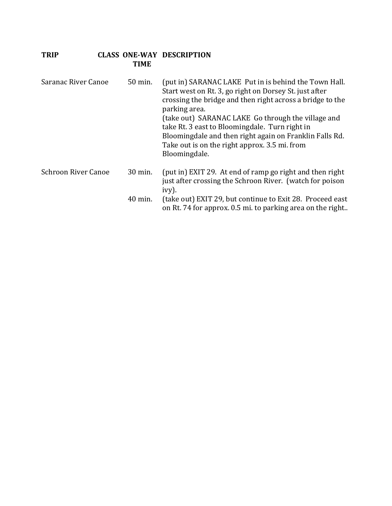| Saranac River Canoe        | 50 min. | (put in) SARANAC LAKE Put in is behind the Town Hall.<br>Start west on Rt. 3, go right on Dorsey St. just after<br>crossing the bridge and then right across a bridge to the<br>parking area.<br>(take out) SARANAC LAKE Go through the village and<br>take Rt. 3 east to Bloomingdale. Turn right in<br>Bloomingdale and then right again on Franklin Falls Rd.<br>Take out is on the right approx. 3.5 mi. from<br>Bloomingdale. |
|----------------------------|---------|------------------------------------------------------------------------------------------------------------------------------------------------------------------------------------------------------------------------------------------------------------------------------------------------------------------------------------------------------------------------------------------------------------------------------------|
| <b>Schroon River Canoe</b> | 30 min. | (put in) EXIT 29. At end of ramp go right and then right<br>just after crossing the Schroon River. (watch for poison<br>ivy).                                                                                                                                                                                                                                                                                                      |
|                            | 40 min. | (take out) EXIT 29, but continue to Exit 28. Proceed east<br>on Rt. 74 for approx. 0.5 mi. to parking area on the right                                                                                                                                                                                                                                                                                                            |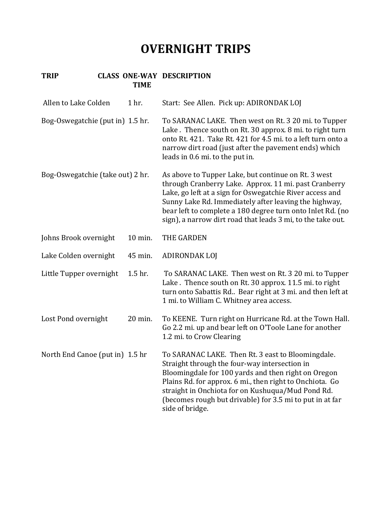# **OVERNIGHT TRIPS**

| Allen to Lake Colden             | 1 hr.   | Start: See Allen. Pick up: ADIRONDAK LOJ                                                                                                                                                                                                                                                                                                                       |
|----------------------------------|---------|----------------------------------------------------------------------------------------------------------------------------------------------------------------------------------------------------------------------------------------------------------------------------------------------------------------------------------------------------------------|
| Bog-Oswegatchie (put in) 1.5 hr. |         | To SARANAC LAKE. Then west on Rt. 3 20 mi. to Tupper<br>Lake. Thence south on Rt. 30 approx. 8 mi. to right turn<br>onto Rt. 421. Take Rt. 421 for 4.5 mi. to a left turn onto a<br>narrow dirt road (just after the pavement ends) which<br>leads in 0.6 mi. to the put in.                                                                                   |
| Bog-Oswegatchie (take out) 2 hr. |         | As above to Tupper Lake, but continue on Rt. 3 west<br>through Cranberry Lake. Approx. 11 mi. past Cranberry<br>Lake, go left at a sign for Oswegatchie River access and<br>Sunny Lake Rd. Immediately after leaving the highway,<br>bear left to complete a 180 degree turn onto Inlet Rd. (no<br>sign), a narrow dirt road that leads 3 mi, to the take out. |
| Johns Brook overnight            | 10 min. | THE GARDEN                                                                                                                                                                                                                                                                                                                                                     |
| Lake Colden overnight            | 45 min. | ADIRONDAK LOJ                                                                                                                                                                                                                                                                                                                                                  |
| Little Tupper overnight          | 1.5 hr. | To SARANAC LAKE. Then west on Rt. 3 20 mi. to Tupper<br>Lake. Thence south on Rt. 30 approx. 11.5 mi. to right<br>turn onto Sabattis Rd Bear right at 3 mi. and then left at<br>1 mi. to William C. Whitney area access.                                                                                                                                       |
| Lost Pond overnight              | 20 min. | To KEENE. Turn right on Hurricane Rd. at the Town Hall.<br>Go 2.2 mi. up and bear left on O'Toole Lane for another<br>1.2 mi. to Crow Clearing                                                                                                                                                                                                                 |
| North End Canoe (put in) 1.5 hr  |         | To SARANAC LAKE. Then Rt. 3 east to Bloomingdale.<br>Straight through the four-way intersection in<br>Bloomingdale for 100 yards and then right on Oregon<br>Plains Rd. for approx. 6 mi., then right to Onchiota. Go<br>straight in Onchiota for on Kushuqua/Mud Pond Rd.<br>(becomes rough but drivable) for 3.5 mi to put in at far<br>side of bridge.      |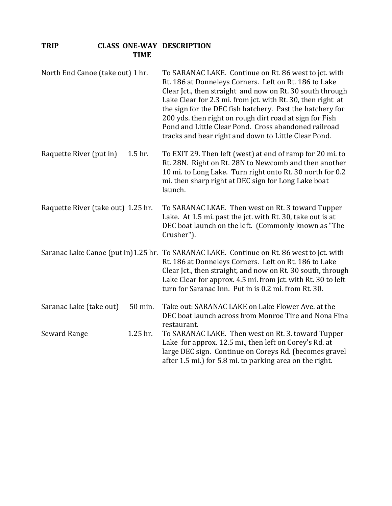| North End Canoe (take out) 1 hr.   | To SARANAC LAKE. Continue on Rt. 86 west to jct. with<br>Rt. 186 at Donneleys Corners. Left on Rt. 186 to Lake<br>Clear Jct., then straight and now on Rt. 30 south through<br>Lake Clear for 2.3 mi. from jct. with Rt. 30, then right at<br>the sign for the DEC fish hatchery. Past the hatchery for<br>200 yds. then right on rough dirt road at sign for Fish<br>Pond and Little Clear Pond. Cross abandoned railroad<br>tracks and bear right and down to Little Clear Pond. |
|------------------------------------|------------------------------------------------------------------------------------------------------------------------------------------------------------------------------------------------------------------------------------------------------------------------------------------------------------------------------------------------------------------------------------------------------------------------------------------------------------------------------------|
| Raquette River (put in)<br>1.5 hr. | To EXIT 29. Then left (west) at end of ramp for 20 mi. to<br>Rt. 28N. Right on Rt. 28N to Newcomb and then another<br>10 mi. to Long Lake. Turn right onto Rt. 30 north for 0.2<br>mi. then sharp right at DEC sign for Long Lake boat<br>launch.                                                                                                                                                                                                                                  |
| Raquette River (take out) 1.25 hr. | To SARANAC LKAE. Then west on Rt. 3 toward Tupper<br>Lake. At 1.5 mi. past the jct. with Rt. 30, take out is at<br>DEC boat launch on the left. (Commonly known as "The<br>Crusher").                                                                                                                                                                                                                                                                                              |
|                                    | Saranac Lake Canoe (put in)1.25 hr. To SARANAC LAKE. Continue on Rt. 86 west to jct. with<br>Rt. 186 at Donneleys Corners. Left on Rt. 186 to Lake<br>Clear Jct., then straight, and now on Rt. 30 south, through<br>Lake Clear for approx. 4.5 mi. from jct. with Rt. 30 to left<br>turn for Saranac Inn. Put in is 0.2 mi. from Rt. 30.                                                                                                                                          |
| Saranac Lake (take out)<br>50 min. | Take out: SARANAC LAKE on Lake Flower Ave. at the<br>DEC boat launch across from Monroe Tire and Nona Fina<br>restaurant.                                                                                                                                                                                                                                                                                                                                                          |
| 1.25 hr.<br>Seward Range           | To SARANAC LAKE. Then west on Rt. 3. toward Tupper<br>Lake for approx. 12.5 mi., then left on Corey's Rd. at<br>large DEC sign. Continue on Coreys Rd. (becomes gravel<br>after 1.5 mi.) for 5.8 mi. to parking area on the right.                                                                                                                                                                                                                                                 |